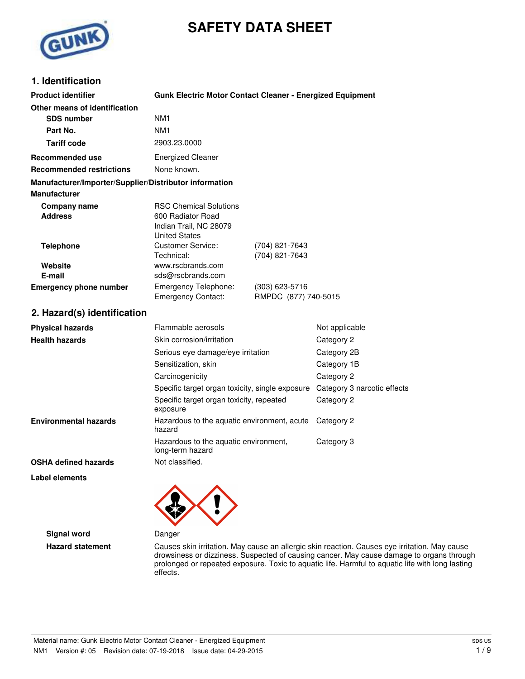# **SAFETY DATA SHEET**



# **1. Identification**

| <b>Product identifier</b>                              | <b>Gunk Electric Motor Contact Cleaner - Energized Equipment</b>                                     |                                          |                             |
|--------------------------------------------------------|------------------------------------------------------------------------------------------------------|------------------------------------------|-----------------------------|
| Other means of identification                          | NM <sub>1</sub>                                                                                      |                                          |                             |
| <b>SDS number</b><br>Part No.                          |                                                                                                      |                                          |                             |
| <b>Tariff code</b>                                     | NM1                                                                                                  |                                          |                             |
|                                                        | 2903.23.0000                                                                                         |                                          |                             |
| <b>Recommended use</b>                                 | <b>Energized Cleaner</b>                                                                             |                                          |                             |
| <b>Recommended restrictions</b>                        | None known.                                                                                          |                                          |                             |
| Manufacturer/Importer/Supplier/Distributor information |                                                                                                      |                                          |                             |
| <b>Manufacturer</b>                                    |                                                                                                      |                                          |                             |
| <b>Company name</b><br><b>Address</b>                  | <b>RSC Chemical Solutions</b><br>600 Radiator Road<br>Indian Trail, NC 28079<br><b>United States</b> |                                          |                             |
| <b>Telephone</b>                                       | <b>Customer Service:</b><br>Technical:                                                               | (704) 821-7643<br>(704) 821-7643         |                             |
| Website<br>E-mail                                      | www.rscbrands.com<br>sds@rscbrands.com                                                               |                                          |                             |
| <b>Emergency phone number</b>                          | Emergency Telephone:<br><b>Emergency Contact:</b>                                                    | $(303)$ 623-5716<br>RMPDC (877) 740-5015 |                             |
| 2. Hazard(s) identification                            |                                                                                                      |                                          |                             |
| <b>Physical hazards</b>                                | Flammable aerosols                                                                                   |                                          | Not applicable              |
| <b>Health hazards</b>                                  | Skin corrosion/irritation                                                                            |                                          | Category 2                  |
|                                                        | Serious eye damage/eye irritation                                                                    |                                          | Category 2B                 |
|                                                        | Sensitization, skin                                                                                  |                                          | Category 1B                 |
|                                                        | Carcinogenicity                                                                                      |                                          | Category 2                  |
|                                                        | Specific target organ toxicity, single exposure                                                      |                                          | Category 3 narcotic effects |
|                                                        | Specific target organ toxicity, repeated<br>exposure                                                 |                                          | Category 2                  |
| <b>Environmental hazards</b>                           | Hazardous to the aquatic environment, acute<br>hazard                                                |                                          | Category 2                  |
|                                                        | Hazardous to the aquatic environment,<br>long-term hazard                                            |                                          | Category 3                  |
| <b>OSHA defined hazards</b>                            | Not classified.                                                                                      |                                          |                             |
| Label elements                                         | ↗<br>୵                                                                                               |                                          |                             |



**Signal word** Danger

**Hazard statement** Causes skin irritation. May cause an allergic skin reaction. Causes eye irritation. May cause drowsiness or dizziness. Suspected of causing cancer. May cause damage to organs through prolonged or repeated exposure. Toxic to aquatic life. Harmful to aquatic life with long lasting effects.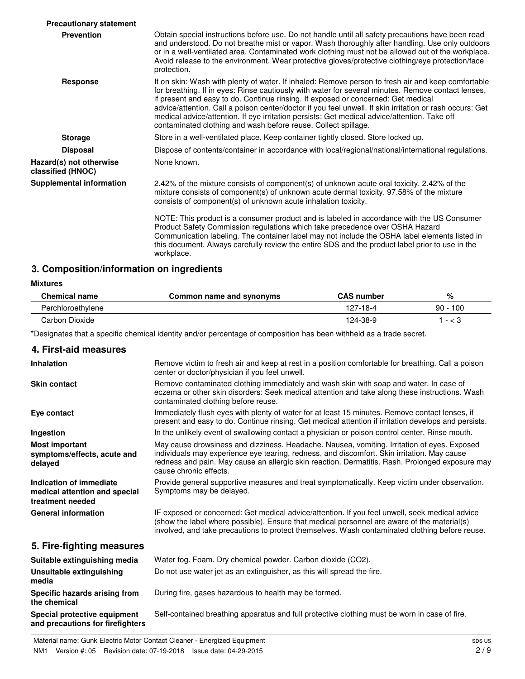| <b>Precautionary statement</b>               |                                                                                                                                                                                                                                                                                                                                                                                                                                                                                                                                                                             |
|----------------------------------------------|-----------------------------------------------------------------------------------------------------------------------------------------------------------------------------------------------------------------------------------------------------------------------------------------------------------------------------------------------------------------------------------------------------------------------------------------------------------------------------------------------------------------------------------------------------------------------------|
| <b>Prevention</b>                            | Obtain special instructions before use. Do not handle until all safety precautions have been read<br>and understood. Do not breathe mist or vapor. Wash thoroughly after handling. Use only outdoors<br>or in a well-ventilated area. Contaminated work clothing must not be allowed out of the workplace.<br>Avoid release to the environment. Wear protective gloves/protective clothing/eye protection/face<br>protection.                                                                                                                                               |
| <b>Response</b>                              | If on skin: Wash with plenty of water. If inhaled: Remove person to fresh air and keep comfortable<br>for breathing. If in eyes: Rinse cautiously with water for several minutes. Remove contact lenses,<br>if present and easy to do. Continue rinsing. If exposed or concerned: Get medical<br>advice/attention. Call a poison center/doctor if you feel unwell. If skin irritation or rash occurs: Get<br>medical advice/attention. If eye irritation persists: Get medical advice/attention. Take off<br>contaminated clothing and wash before reuse. Collect spillage. |
| <b>Storage</b>                               | Store in a well-ventilated place. Keep container tightly closed. Store locked up.                                                                                                                                                                                                                                                                                                                                                                                                                                                                                           |
| <b>Disposal</b>                              | Dispose of contents/container in accordance with local/regional/national/international regulations.                                                                                                                                                                                                                                                                                                                                                                                                                                                                         |
| Hazard(s) not otherwise<br>classified (HNOC) | None known.                                                                                                                                                                                                                                                                                                                                                                                                                                                                                                                                                                 |
| <b>Supplemental information</b>              | 2.42% of the mixture consists of component(s) of unknown acute oral toxicity. 2.42% of the<br>mixture consists of component(s) of unknown acute dermal toxicity. 97.58% of the mixture<br>consists of component(s) of unknown acute inhalation toxicity.                                                                                                                                                                                                                                                                                                                    |
|                                              | NOTE: This product is a consumer product and is labeled in accordance with the US Consumer<br>Product Safety Commission regulations which take precedence over OSHA Hazard<br>Communication labeling. The container label may not include the OSHA label elements listed in<br>this document. Always carefully review the entire SDS and the product label prior to use in the<br>workplace.                                                                                                                                                                                |

### **3. Composition/information on ingredients**

#### **Mixtures**

| <b>Chemical name</b> | Common name and synonyms | <b>CAS number</b> | %             |
|----------------------|--------------------------|-------------------|---------------|
| Perchloroethylene    |                          | 127-18-4          | 100<br>$90 -$ |
| Carbon Dioxide       |                          | 124-38-9          | - < 3         |

\*Designates that a specific chemical identity and/or percentage of composition has been withheld as a trade secret.

### **4. First-aid measures**

| <b>Inhalation</b>                                                            | Remove victim to fresh air and keep at rest in a position comfortable for breathing. Call a poison<br>center or doctor/physician if you feel unwell.                                                                                                                                                                    |
|------------------------------------------------------------------------------|-------------------------------------------------------------------------------------------------------------------------------------------------------------------------------------------------------------------------------------------------------------------------------------------------------------------------|
| <b>Skin contact</b>                                                          | Remove contaminated clothing immediately and wash skin with soap and water. In case of<br>eczema or other skin disorders: Seek medical attention and take along these instructions. Wash<br>contaminated clothing before reuse.                                                                                         |
| Eye contact                                                                  | Immediately flush eyes with plenty of water for at least 15 minutes. Remove contact lenses, if<br>present and easy to do. Continue rinsing. Get medical attention if irritation develops and persists.                                                                                                                  |
| Ingestion                                                                    | In the unlikely event of swallowing contact a physician or poison control center. Rinse mouth.                                                                                                                                                                                                                          |
| <b>Most important</b><br>symptoms/effects, acute and<br>delayed              | May cause drowsiness and dizziness. Headache. Nausea, vomiting. Irritation of eyes. Exposed<br>individuals may experience eye tearing, redness, and discomfort. Skin irritation. May cause<br>redness and pain. May cause an allergic skin reaction. Dermatitis. Rash. Prolonged exposure may<br>cause chronic effects. |
| Indication of immediate<br>medical attention and special<br>treatment needed | Provide general supportive measures and treat symptomatically. Keep victim under observation.<br>Symptoms may be delayed.                                                                                                                                                                                               |
| <b>General information</b>                                                   | IF exposed or concerned: Get medical advice/attention. If you feel unwell, seek medical advice<br>(show the label where possible). Ensure that medical personnel are aware of the material(s)<br>involved, and take precautions to protect themselves. Wash contaminated clothing before reuse.                         |
| 5. Fire-fighting measures                                                    |                                                                                                                                                                                                                                                                                                                         |

### **Suitable extinguishing media** Water fog. Foam. Dry chemical powder. Carbon dioxide (CO2). **Unsuitable extinguishing** Do not use water jet as an extinguisher, as this will spread the fire. **media Specific hazards arising from** During fire, gases hazardous to health may be formed. **the chemical Special protective equipment** Self-contained breathing apparatus and full protective clothing must be worn in case of fire. **and precautions for firefighters**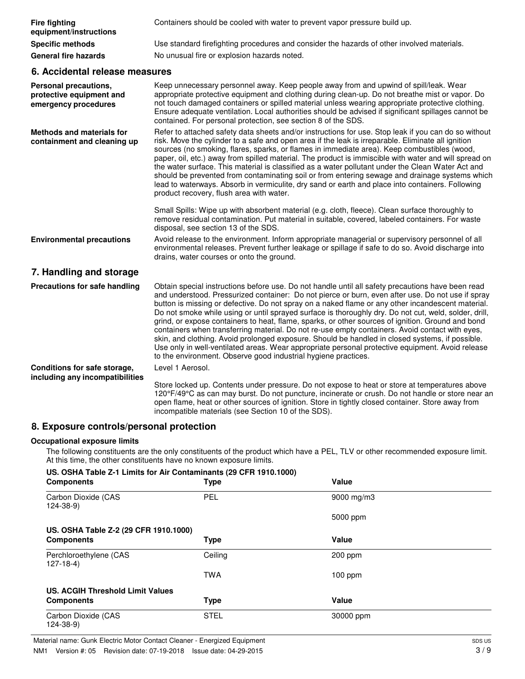| <b>Fire fighting</b><br>equipment/instructions                            | Containers should be cooled with water to prevent vapor pressure build up.                                                                                                                                                                                                                                                                                                                                                                                                                                                                                                                                                                                                                                                                                                                                                                                                                            |
|---------------------------------------------------------------------------|-------------------------------------------------------------------------------------------------------------------------------------------------------------------------------------------------------------------------------------------------------------------------------------------------------------------------------------------------------------------------------------------------------------------------------------------------------------------------------------------------------------------------------------------------------------------------------------------------------------------------------------------------------------------------------------------------------------------------------------------------------------------------------------------------------------------------------------------------------------------------------------------------------|
| <b>Specific methods</b>                                                   | Use standard firefighting procedures and consider the hazards of other involved materials.                                                                                                                                                                                                                                                                                                                                                                                                                                                                                                                                                                                                                                                                                                                                                                                                            |
| <b>General fire hazards</b>                                               | No unusual fire or explosion hazards noted.                                                                                                                                                                                                                                                                                                                                                                                                                                                                                                                                                                                                                                                                                                                                                                                                                                                           |
| 6. Accidental release measures                                            |                                                                                                                                                                                                                                                                                                                                                                                                                                                                                                                                                                                                                                                                                                                                                                                                                                                                                                       |
| Personal precautions,<br>protective equipment and<br>emergency procedures | Keep unnecessary personnel away. Keep people away from and upwind of spill/leak. Wear<br>appropriate protective equipment and clothing during clean-up. Do not breathe mist or vapor. Do<br>not touch damaged containers or spilled material unless wearing appropriate protective clothing.<br>Ensure adequate ventilation. Local authorities should be advised if significant spillages cannot be<br>contained. For personal protection, see section 8 of the SDS.                                                                                                                                                                                                                                                                                                                                                                                                                                  |
| <b>Methods and materials for</b><br>containment and cleaning up           | Refer to attached safety data sheets and/or instructions for use. Stop leak if you can do so without<br>risk. Move the cylinder to a safe and open area if the leak is irreparable. Eliminate all ignition<br>sources (no smoking, flares, sparks, or flames in immediate area). Keep combustibles (wood,<br>paper, oil, etc.) away from spilled material. The product is immiscible with water and will spread on<br>the water surface. This material is classified as a water pollutant under the Clean Water Act and<br>should be prevented from contaminating soil or from entering sewage and drainage systems which<br>lead to waterways. Absorb in vermiculite, dry sand or earth and place into containers. Following<br>product recovery, flush area with water.                                                                                                                             |
|                                                                           | Small Spills: Wipe up with absorbent material (e.g. cloth, fleece). Clean surface thoroughly to<br>remove residual contamination. Put material in suitable, covered, labeled containers. For waste<br>disposal, see section 13 of the SDS.                                                                                                                                                                                                                                                                                                                                                                                                                                                                                                                                                                                                                                                            |
| <b>Environmental precautions</b>                                          | Avoid release to the environment. Inform appropriate managerial or supervisory personnel of all<br>environmental releases. Prevent further leakage or spillage if safe to do so. Avoid discharge into<br>drains, water courses or onto the ground.                                                                                                                                                                                                                                                                                                                                                                                                                                                                                                                                                                                                                                                    |
| 7. Handling and storage                                                   |                                                                                                                                                                                                                                                                                                                                                                                                                                                                                                                                                                                                                                                                                                                                                                                                                                                                                                       |
| Precautions for safe handling                                             | Obtain special instructions before use. Do not handle until all safety precautions have been read<br>and understood. Pressurized container: Do not pierce or burn, even after use. Do not use if spray<br>button is missing or defective. Do not spray on a naked flame or any other incandescent material.<br>Do not smoke while using or until sprayed surface is thoroughly dry. Do not cut, weld, solder, drill,<br>grind, or expose containers to heat, flame, sparks, or other sources of ignition. Ground and bond<br>containers when transferring material. Do not re-use empty containers. Avoid contact with eyes,<br>skin, and clothing. Avoid prolonged exposure. Should be handled in closed systems, if possible.<br>Use only in well-ventilated areas. Wear appropriate personal protective equipment. Avoid release<br>to the environment. Observe good industrial hygiene practices. |
| Conditions for safe storage,                                              | Level 1 Aerosol.                                                                                                                                                                                                                                                                                                                                                                                                                                                                                                                                                                                                                                                                                                                                                                                                                                                                                      |
| including any incompatibilities                                           |                                                                                                                                                                                                                                                                                                                                                                                                                                                                                                                                                                                                                                                                                                                                                                                                                                                                                                       |
|                                                                           | Store locked up. Contents under pressure. Do not expose to heat or store at temperatures above<br>120°F/49°C as can may burst. Do not puncture, incinerate or crush. Do not handle or store near an<br>open flame, heat or other sources of ignition. Store in tightly closed container. Store away from<br>incompatible materials (see Section 10 of the SDS).                                                                                                                                                                                                                                                                                                                                                                                                                                                                                                                                       |

# **8. Exposure controls/personal protection**

### **Occupational exposure limits**

The following constituents are the only constituents of the product which have a PEL, TLV or other recommended exposure limit. At this time, the other constituents have no known exposure limits.

| US. OSHA Table Z-1 Limits for Air Contaminants (29 CFR 1910.1000)<br><b>Components</b> | Type        | Value                  |
|----------------------------------------------------------------------------------------|-------------|------------------------|
| Carbon Dioxide (CAS<br>$124 - 38 - 9$                                                  | PEL         | $9000 \,\mathrm{mg/m}$ |
|                                                                                        |             | 5000 ppm               |
| US. OSHA Table Z-2 (29 CFR 1910.1000)                                                  |             |                        |
| <b>Components</b>                                                                      | <b>Type</b> | Value                  |
| Perchloroethylene (CAS<br>$127-18-4$                                                   | Ceiling     | 200 ppm                |
|                                                                                        | <b>TWA</b>  | $100$ ppm              |
| US. ACGIH Threshold Limit Values                                                       |             |                        |
| <b>Components</b>                                                                      | <b>Type</b> | Value                  |
| Carbon Dioxide (CAS<br>124-38-9)                                                       | <b>STEL</b> | 30000 ppm              |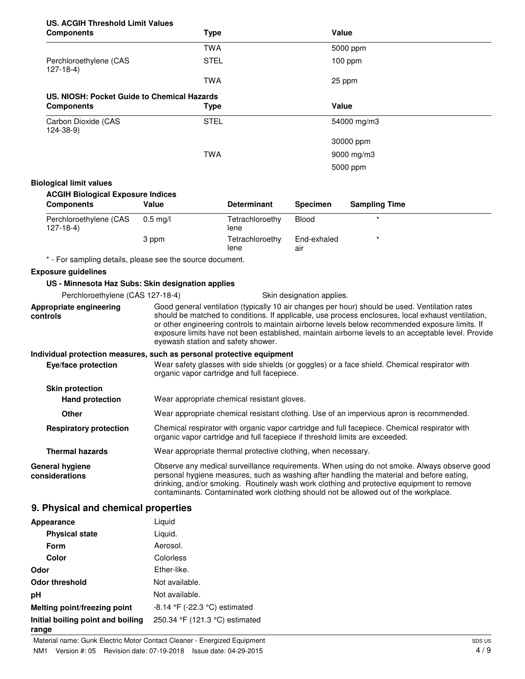| US. ACGIH Threshold Limit Values |     |
|----------------------------------|-----|
| Comnonante                       | Tyn |

| <b>Components</b>                           | <b>Type</b> | Value       |  |
|---------------------------------------------|-------------|-------------|--|
|                                             | <b>TWA</b>  | 5000 ppm    |  |
| Perchloroethylene (CAS<br>$127-18-4$        | <b>STEL</b> | $100$ ppm   |  |
|                                             | <b>TWA</b>  | 25 ppm      |  |
| US. NIOSH: Pocket Guide to Chemical Hazards |             |             |  |
| <b>Components</b>                           |             | Value       |  |
|                                             | Type        |             |  |
| Carbon Dioxide (CAS<br>$124 - 38 - 9$       | <b>STEL</b> | 54000 mg/m3 |  |
|                                             |             | 30000 ppm   |  |
|                                             | <b>TWA</b>  | 9000 mg/m3  |  |

#### **Biological limit values**

### **ACGIH Biological Exposure Indices**

| <b>Components</b>                    | Value      | <b>Determinant</b>      | <b>Specimen</b>    | <b>Sampling Time</b> |
|--------------------------------------|------------|-------------------------|--------------------|----------------------|
| Perchloroethylene (CAS<br>$127-18-4$ | $0.5$ mg/l | Tetrachloroethy<br>lene | Blood              |                      |
|                                      | 3 ppm      | Tetrachloroethy<br>lene | End-exhaled<br>air | $\star$              |

\* - For sampling details, please see the source document.

#### **Exposure guidelines**

### **US - Minnesota Haz Subs: Skin designation applies**

| 00 - Millillesota Haz Oubs. Onlif designation applies |                                                                                                                                                                                                                                                                                                                                                                                                                                                      |  |
|-------------------------------------------------------|------------------------------------------------------------------------------------------------------------------------------------------------------------------------------------------------------------------------------------------------------------------------------------------------------------------------------------------------------------------------------------------------------------------------------------------------------|--|
| Perchloroethylene (CAS 127-18-4)                      | Skin designation applies.                                                                                                                                                                                                                                                                                                                                                                                                                            |  |
| Appropriate engineering<br>controls                   | Good general ventilation (typically 10 air changes per hour) should be used. Ventilation rates<br>should be matched to conditions. If applicable, use process enclosures, local exhaust ventilation,<br>or other engineering controls to maintain airborne levels below recommended exposure limits. If<br>exposure limits have not been established, maintain airborne levels to an acceptable level. Provide<br>eyewash station and safety shower. |  |
|                                                       | Individual protection measures, such as personal protective equipment                                                                                                                                                                                                                                                                                                                                                                                |  |
| Eye/face protection                                   | Wear safety glasses with side shields (or goggles) or a face shield. Chemical respirator with<br>organic vapor cartridge and full facepiece.                                                                                                                                                                                                                                                                                                         |  |
| <b>Skin protection</b>                                |                                                                                                                                                                                                                                                                                                                                                                                                                                                      |  |
| <b>Hand protection</b>                                | Wear appropriate chemical resistant gloves.                                                                                                                                                                                                                                                                                                                                                                                                          |  |
| <b>Other</b>                                          | Wear appropriate chemical resistant clothing. Use of an impervious apron is recommended.                                                                                                                                                                                                                                                                                                                                                             |  |
| <b>Respiratory protection</b>                         | Chemical respirator with organic vapor cartridge and full facepiece. Chemical respirator with<br>organic vapor cartridge and full facepiece if threshold limits are exceeded.                                                                                                                                                                                                                                                                        |  |
| <b>Thermal hazards</b>                                | Wear appropriate thermal protective clothing, when necessary.                                                                                                                                                                                                                                                                                                                                                                                        |  |
| <b>General hygiene</b><br>considerations              | Observe any medical surveillance requirements. When using do not smoke. Always observe good<br>personal hygiene measures, such as washing after handling the material and before eating,<br>drinking, and/or smoking. Routinely wash work clothing and protective equipment to remove<br>contaminants. Contaminated work clothing should not be allowed out of the workplace.                                                                        |  |

# **9. Physical and chemical properties**

| Appearance                                 | Liquid                             |
|--------------------------------------------|------------------------------------|
| <b>Physical state</b>                      | Liquid.                            |
| Form                                       | Aerosol.                           |
| Color                                      | Colorless                          |
| Odor                                       | Ether-like.                        |
| <b>Odor threshold</b>                      | Not available.                     |
| рH                                         | Not available.                     |
| Melting point/freezing point               | $-8.14$ °F ( $-22.3$ °C) estimated |
| Initial boiling point and boiling<br>range | 250.34 °F (121.3 °C) estimated     |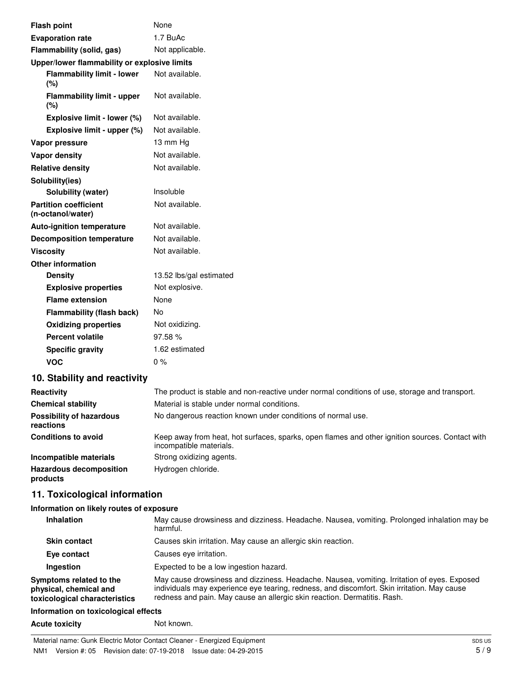| <b>Flash point</b>                                | None                                                                                        |
|---------------------------------------------------|---------------------------------------------------------------------------------------------|
| <b>Evaporation rate</b>                           | 1.7 BuAc                                                                                    |
| Flammability (solid, gas)                         | Not applicable.                                                                             |
| Upper/lower flammability or explosive limits      |                                                                                             |
| <b>Flammability limit - lower</b><br>(%)          | Not available.                                                                              |
| <b>Flammability limit - upper</b><br>(%)          | Not available.                                                                              |
| Explosive limit - lower (%)                       | Not available.                                                                              |
| Explosive limit - upper (%)                       | Not available.                                                                              |
| Vapor pressure                                    | 13 mm Hg                                                                                    |
| <b>Vapor density</b>                              | Not available.                                                                              |
| <b>Relative density</b>                           | Not available.                                                                              |
| Solubility(ies)                                   |                                                                                             |
| <b>Solubility (water)</b>                         | Insoluble                                                                                   |
| <b>Partition coefficient</b><br>(n-octanol/water) | Not available.                                                                              |
| <b>Auto-ignition temperature</b>                  | Not available.                                                                              |
| <b>Decomposition temperature</b>                  | Not available.                                                                              |
| <b>Viscosity</b>                                  | Not available.                                                                              |
| <b>Other information</b>                          |                                                                                             |
| <b>Density</b>                                    | 13.52 lbs/gal estimated                                                                     |
| <b>Explosive properties</b>                       | Not explosive.                                                                              |
| <b>Flame extension</b>                            | None                                                                                        |
| <b>Flammability (flash back)</b>                  | <b>No</b>                                                                                   |
| <b>Oxidizing properties</b>                       | Not oxidizing.                                                                              |
| <b>Percent volatile</b>                           | 97.58%                                                                                      |
| <b>Specific gravity</b>                           | 1.62 estimated                                                                              |
| <b>VOC</b>                                        | $0\%$                                                                                       |
| 10. Stability and reactivity                      |                                                                                             |
| <b>Popotivity</b>                                 | The product is stable and non-reactive under normal conditions of use storage and transport |

| Reactivity                                   | The product is stable and non-reactive under normal conditions of use, storage and transport.                              |
|----------------------------------------------|----------------------------------------------------------------------------------------------------------------------------|
| <b>Chemical stability</b>                    | Material is stable under normal conditions.                                                                                |
| <b>Possibility of hazardous</b><br>reactions | No dangerous reaction known under conditions of normal use.                                                                |
| <b>Conditions to avoid</b>                   | Keep away from heat, hot surfaces, sparks, open flames and other ignition sources. Contact with<br>incompatible materials. |
| Incompatible materials                       | Strong oxidizing agents.                                                                                                   |
| Hazardous decomposition<br>products          | Hydrogen chloride.                                                                                                         |

# **11. Toxicological information**

### **Information on likely routes of exposure**

| <b>Inhalation</b>                                                                  | May cause drowsiness and dizziness. Headache. Nausea, vomiting. Prolonged inhalation may be<br>harmful.                                                                                                                                                                |
|------------------------------------------------------------------------------------|------------------------------------------------------------------------------------------------------------------------------------------------------------------------------------------------------------------------------------------------------------------------|
| <b>Skin contact</b>                                                                | Causes skin irritation. May cause an allergic skin reaction.                                                                                                                                                                                                           |
| Eye contact                                                                        | Causes eye irritation.                                                                                                                                                                                                                                                 |
| Ingestion                                                                          | Expected to be a low ingestion hazard.                                                                                                                                                                                                                                 |
| Symptoms related to the<br>physical, chemical and<br>toxicological characteristics | May cause drowsiness and dizziness. Headache. Nausea, vomiting. Irritation of eyes. Exposed<br>individuals may experience eye tearing, redness, and discomfort. Skin irritation. May cause<br>redness and pain. May cause an allergic skin reaction. Dermatitis. Rash. |

### **Information on toxicological effects**

Acute toxicity **Not known.** Not known.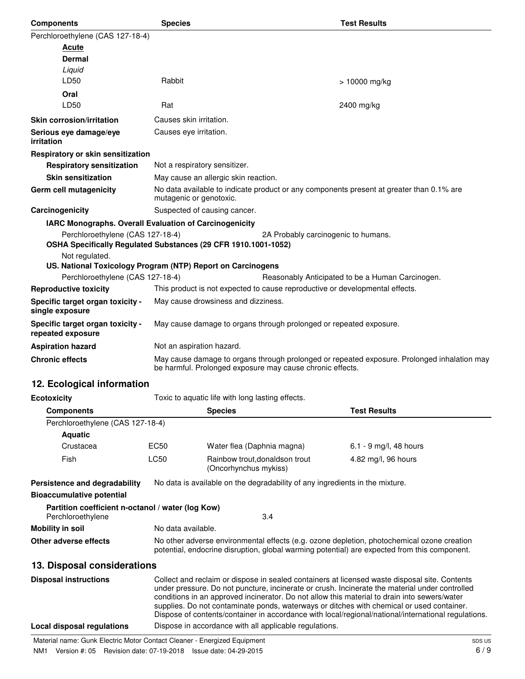| <b>Components</b>                                                                                                                                                                   | <b>Species</b> |                                                                                                                                                          |                                     | <b>Test Results</b>                                                          |
|-------------------------------------------------------------------------------------------------------------------------------------------------------------------------------------|----------------|----------------------------------------------------------------------------------------------------------------------------------------------------------|-------------------------------------|------------------------------------------------------------------------------|
| Perchloroethylene (CAS 127-18-4)                                                                                                                                                    |                |                                                                                                                                                          |                                     |                                                                              |
| <u>Acute</u>                                                                                                                                                                        |                |                                                                                                                                                          |                                     |                                                                              |
| <b>Dermal</b>                                                                                                                                                                       |                |                                                                                                                                                          |                                     |                                                                              |
| Liquid                                                                                                                                                                              |                |                                                                                                                                                          |                                     |                                                                              |
| LD50                                                                                                                                                                                |                | Rabbit<br>> 10000 mg/kg                                                                                                                                  |                                     |                                                                              |
| Oral                                                                                                                                                                                |                |                                                                                                                                                          |                                     |                                                                              |
| LD50                                                                                                                                                                                | Rat            |                                                                                                                                                          |                                     | 2400 mg/kg                                                                   |
| <b>Skin corrosion/irritation</b>                                                                                                                                                    |                | Causes skin irritation.                                                                                                                                  |                                     |                                                                              |
| Serious eye damage/eye<br>irritation                                                                                                                                                |                | Causes eye irritation.                                                                                                                                   |                                     |                                                                              |
| Respiratory or skin sensitization                                                                                                                                                   |                |                                                                                                                                                          |                                     |                                                                              |
| <b>Respiratory sensitization</b>                                                                                                                                                    |                | Not a respiratory sensitizer.                                                                                                                            |                                     |                                                                              |
| <b>Skin sensitization</b>                                                                                                                                                           |                | May cause an allergic skin reaction.                                                                                                                     |                                     |                                                                              |
| Germ cell mutagenicity                                                                                                                                                              |                | No data available to indicate product or any components present at greater than 0.1% are<br>mutagenic or genotoxic.                                      |                                     |                                                                              |
| Carcinogenicity                                                                                                                                                                     |                | Suspected of causing cancer.                                                                                                                             |                                     |                                                                              |
| IARC Monographs. Overall Evaluation of Carcinogenicity                                                                                                                              |                |                                                                                                                                                          |                                     |                                                                              |
| Perchloroethylene (CAS 127-18-4)<br>OSHA Specifically Regulated Substances (29 CFR 1910.1001-1052)<br>Not regulated.<br>US. National Toxicology Program (NTP) Report on Carcinogens |                |                                                                                                                                                          | 2A Probably carcinogenic to humans. |                                                                              |
| Perchloroethylene (CAS 127-18-4)                                                                                                                                                    |                |                                                                                                                                                          |                                     | Reasonably Anticipated to be a Human Carcinogen.                             |
| <b>Reproductive toxicity</b>                                                                                                                                                        |                | This product is not expected to cause reproductive or developmental effects.                                                                             |                                     |                                                                              |
| Specific target organ toxicity -<br>single exposure                                                                                                                                 |                | May cause drowsiness and dizziness.                                                                                                                      |                                     |                                                                              |
| Specific target organ toxicity -<br>repeated exposure                                                                                                                               |                | May cause damage to organs through prolonged or repeated exposure.                                                                                       |                                     |                                                                              |
| <b>Aspiration hazard</b>                                                                                                                                                            |                | Not an aspiration hazard.                                                                                                                                |                                     |                                                                              |
| <b>Chronic effects</b>                                                                                                                                                              |                | May cause damage to organs through prolonged or repeated exposure. Prolonged inhalation may<br>be harmful. Prolonged exposure may cause chronic effects. |                                     |                                                                              |
| 12. Ecological information                                                                                                                                                          |                |                                                                                                                                                          |                                     |                                                                              |
| <b>Ecotoxicity</b>                                                                                                                                                                  |                | Toxic to aquatic life with long lasting effects.                                                                                                         |                                     |                                                                              |
| <b>Components</b>                                                                                                                                                                   |                | <b>Species</b>                                                                                                                                           |                                     | <b>Test Results</b>                                                          |
| Perchloroethylene (CAS 127-18-4)                                                                                                                                                    |                |                                                                                                                                                          |                                     |                                                                              |
| <b>Aquatic</b>                                                                                                                                                                      |                |                                                                                                                                                          |                                     |                                                                              |
| Crustacea                                                                                                                                                                           | EC50           | Water flea (Daphnia magna)                                                                                                                               |                                     | 6.1 - 9 mg/l, 48 hours                                                       |
| Fish                                                                                                                                                                                | LC50           | Rainbow trout, donaldson trout<br>(Oncorhynchus mykiss)                                                                                                  |                                     | 4.82 mg/l, 96 hours                                                          |
| Persistence and degradability<br><b>Bioaccumulative potential</b>                                                                                                                   |                |                                                                                                                                                          |                                     | No data is available on the degradability of any ingredients in the mixture. |
| Partition coefficient n-octanol / water (log Kow)                                                                                                                                   |                |                                                                                                                                                          |                                     |                                                                              |

| Perchloroethylene     | 3.4                                                                                                                                                                                        |
|-----------------------|--------------------------------------------------------------------------------------------------------------------------------------------------------------------------------------------|
| Mobility in soil      | No data available.                                                                                                                                                                         |
| Other adverse effects | No other adverse environmental effects (e.g. ozone depletion, photochemical ozone creation<br>potential, endocrine disruption, global warming potential) are expected from this component. |

# **13. Disposal considerations**

| <b>Disposal instructions</b> | Collect and reclaim or dispose in sealed containers at licensed waste disposal site. Contents<br>under pressure. Do not puncture, incinerate or crush. Incinerate the material under controlled<br>conditions in an approved incinerator. Do not allow this material to drain into sewers/water<br>supplies. Do not contaminate ponds, waterways or ditches with chemical or used container.<br>Dispose of contents/container in accordance with local/regional/national/international regulations. |
|------------------------------|-----------------------------------------------------------------------------------------------------------------------------------------------------------------------------------------------------------------------------------------------------------------------------------------------------------------------------------------------------------------------------------------------------------------------------------------------------------------------------------------------------|
| Local disposal regulations   | Dispose in accordance with all applicable regulations.                                                                                                                                                                                                                                                                                                                                                                                                                                              |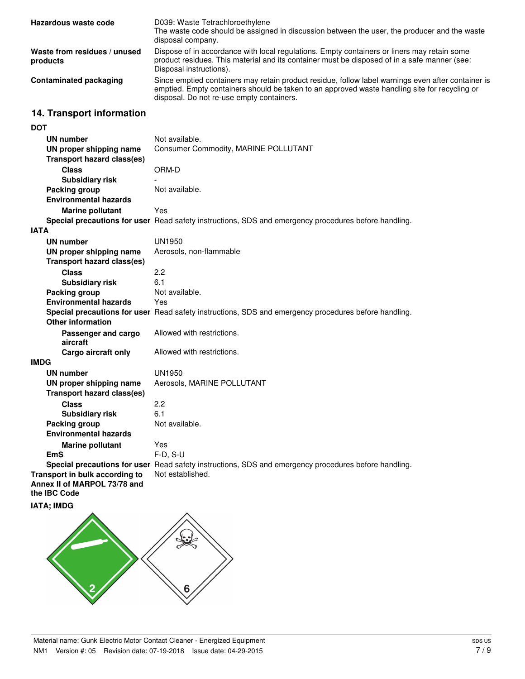| Hazardous waste code                     | D039: Waste Tetrachloroethylene<br>The waste code should be assigned in discussion between the user, the producer and the waste<br>disposal company.                                                                                             |
|------------------------------------------|--------------------------------------------------------------------------------------------------------------------------------------------------------------------------------------------------------------------------------------------------|
| Waste from residues / unused<br>products | Dispose of in accordance with local regulations. Empty containers or liners may retain some<br>product residues. This material and its container must be disposed of in a safe manner (see:<br>Disposal instructions).                           |
| <b>Contaminated packaging</b>            | Since emptied containers may retain product residue, follow label warnings even after container is<br>emptied. Empty containers should be taken to an approved waste handling site for recycling or<br>disposal. Do not re-use empty containers. |

# **14. Transport information**

| <b>DOT</b>                                                     |                                                                                                      |
|----------------------------------------------------------------|------------------------------------------------------------------------------------------------------|
| UN number                                                      | Not available.                                                                                       |
| UN proper shipping name                                        | Consumer Commodity, MARINE POLLUTANT                                                                 |
| <b>Transport hazard class(es)</b>                              |                                                                                                      |
| <b>Class</b>                                                   | ORM-D                                                                                                |
| <b>Subsidiary risk</b>                                         |                                                                                                      |
| <b>Packing group</b>                                           | Not available.                                                                                       |
| <b>Environmental hazards</b>                                   |                                                                                                      |
| <b>Marine pollutant</b>                                        | Yes                                                                                                  |
|                                                                | Special precautions for user Read safety instructions, SDS and emergency procedures before handling. |
| <b>IATA</b>                                                    |                                                                                                      |
| <b>UN number</b>                                               | UN1950                                                                                               |
| UN proper shipping name                                        | Aerosols, non-flammable                                                                              |
| <b>Transport hazard class(es)</b>                              |                                                                                                      |
| <b>Class</b>                                                   | 2.2                                                                                                  |
| <b>Subsidiary risk</b>                                         | 6.1                                                                                                  |
| <b>Packing group</b>                                           | Not available.                                                                                       |
| <b>Environmental hazards</b>                                   | Yes                                                                                                  |
|                                                                | Special precautions for user Read safety instructions, SDS and emergency procedures before handling. |
| <b>Other information</b>                                       |                                                                                                      |
| Passenger and cargo                                            | Allowed with restrictions.                                                                           |
| aircraft                                                       |                                                                                                      |
| Cargo aircraft only                                            | Allowed with restrictions.                                                                           |
| <b>IMDG</b>                                                    |                                                                                                      |
| <b>UN number</b>                                               | UN1950                                                                                               |
| UN proper shipping name                                        | Aerosols, MARINE POLLUTANT                                                                           |
| <b>Transport hazard class(es)</b>                              |                                                                                                      |
| <b>Class</b>                                                   | 2.2                                                                                                  |
| <b>Subsidiary risk</b>                                         | 6.1                                                                                                  |
| <b>Packing group</b>                                           | Not available.                                                                                       |
| <b>Environmental hazards</b>                                   |                                                                                                      |
| <b>Marine pollutant</b>                                        | Yes                                                                                                  |
| <b>EmS</b>                                                     | $F-D, S-U$                                                                                           |
|                                                                | Special precautions for user Read safety instructions, SDS and emergency procedures before handling. |
| Transport in bulk according to<br>Annex II of MARPOL 73/78 and | Not established.                                                                                     |
| the IBC Code                                                   |                                                                                                      |
| <b>IATA; IMDG</b>                                              |                                                                                                      |
|                                                                |                                                                                                      |

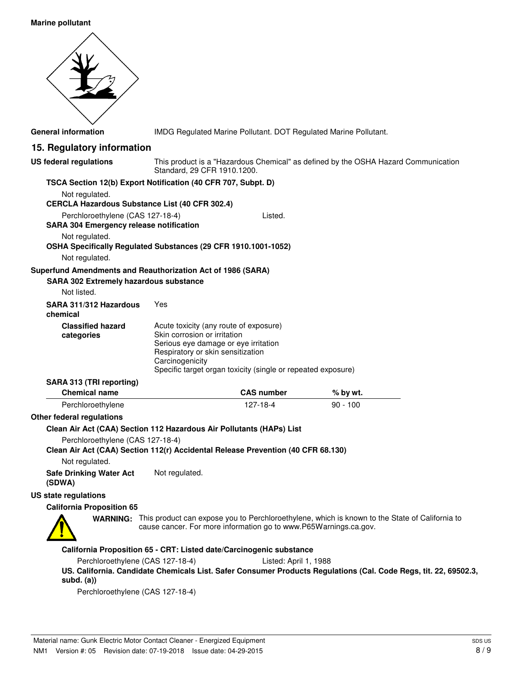### **Marine pollutant**



**General information** IMDG Regulated Marine Pollutant. DOT Regulated Marine Pollutant.

## **15. Regulatory information**

| <b>US federal regulations</b>                                                                                        | Standard, 29 CFR 1910.1200.                                                                                                                         |                                                                     | This product is a "Hazardous Chemical" as defined by the OSHA Hazard Communication                               |
|----------------------------------------------------------------------------------------------------------------------|-----------------------------------------------------------------------------------------------------------------------------------------------------|---------------------------------------------------------------------|------------------------------------------------------------------------------------------------------------------|
| TSCA Section 12(b) Export Notification (40 CFR 707, Subpt. D)                                                        |                                                                                                                                                     |                                                                     |                                                                                                                  |
| Not regulated.<br><b>CERCLA Hazardous Substance List (40 CFR 302.4)</b>                                              |                                                                                                                                                     |                                                                     |                                                                                                                  |
| Perchloroethylene (CAS 127-18-4)                                                                                     |                                                                                                                                                     | Listed.                                                             |                                                                                                                  |
| <b>SARA 304 Emergency release notification</b>                                                                       |                                                                                                                                                     |                                                                     |                                                                                                                  |
| Not regulated.<br>OSHA Specifically Regulated Substances (29 CFR 1910.1001-1052)                                     |                                                                                                                                                     |                                                                     |                                                                                                                  |
| Not regulated.                                                                                                       |                                                                                                                                                     |                                                                     |                                                                                                                  |
| Superfund Amendments and Reauthorization Act of 1986 (SARA)<br>SARA 302 Extremely hazardous substance                |                                                                                                                                                     |                                                                     |                                                                                                                  |
| Not listed.                                                                                                          |                                                                                                                                                     |                                                                     |                                                                                                                  |
| SARA 311/312 Hazardous<br>chemical                                                                                   | Yes                                                                                                                                                 |                                                                     |                                                                                                                  |
| <b>Classified hazard</b><br>categories                                                                               | Acute toxicity (any route of exposure)<br>Skin corrosion or irritation<br>Serious eye damage or eye irritation<br>Respiratory or skin sensitization |                                                                     |                                                                                                                  |
|                                                                                                                      | Carcinogenicity                                                                                                                                     | Specific target organ toxicity (single or repeated exposure)        |                                                                                                                  |
| SARA 313 (TRI reporting)                                                                                             |                                                                                                                                                     |                                                                     |                                                                                                                  |
| <b>Chemical name</b>                                                                                                 |                                                                                                                                                     | <b>CAS number</b>                                                   | $%$ by wt.                                                                                                       |
| Perchloroethylene                                                                                                    |                                                                                                                                                     | 127-18-4                                                            | $90 - 100$                                                                                                       |
| Other federal regulations                                                                                            |                                                                                                                                                     |                                                                     |                                                                                                                  |
| Clean Air Act (CAA) Section 112 Hazardous Air Pollutants (HAPs) List                                                 |                                                                                                                                                     |                                                                     |                                                                                                                  |
| Perchloroethylene (CAS 127-18-4)<br>Clean Air Act (CAA) Section 112(r) Accidental Release Prevention (40 CFR 68.130) |                                                                                                                                                     |                                                                     |                                                                                                                  |
| Not regulated.                                                                                                       |                                                                                                                                                     |                                                                     |                                                                                                                  |
| <b>Safe Drinking Water Act</b><br>(SDWA)                                                                             | Not regulated.                                                                                                                                      |                                                                     |                                                                                                                  |
| <b>US state regulations</b>                                                                                          |                                                                                                                                                     |                                                                     |                                                                                                                  |
| <b>California Proposition 65</b>                                                                                     |                                                                                                                                                     |                                                                     |                                                                                                                  |
|                                                                                                                      |                                                                                                                                                     | cause cancer. For more information go to www.P65Warnings.ca.gov.    | WARNING: This product can expose you to Perchloroethylene, which is known to the State of California to          |
|                                                                                                                      |                                                                                                                                                     | California Proposition 65 - CRT: Listed date/Carcinogenic substance |                                                                                                                  |
| Perchloroethylene (CAS 127-18-4)                                                                                     |                                                                                                                                                     | Listed: April 1, 1988                                               |                                                                                                                  |
| subd. (a))                                                                                                           |                                                                                                                                                     |                                                                     | US. California. Candidate Chemicals List. Safer Consumer Products Regulations (Cal. Code Regs, tit. 22, 69502.3, |
| Perchloroethylene (CAS 127-18-4)                                                                                     |                                                                                                                                                     |                                                                     |                                                                                                                  |